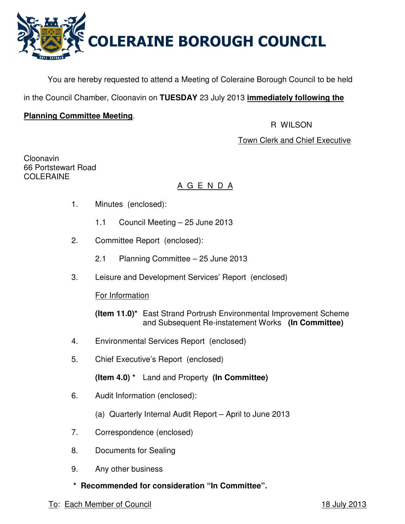

You are hereby requested to attend a Meeting of Coleraine Borough Council to be held

in the Council Chamber, Cloonavin on **TUESDAY** 23 July 2013 **immediately following the**

## **Planning Committee Meeting**.

R WILSON

Town Clerk and Chief Executive

Cloonavin 66 Portstewart Road **COLERAINE** 

# A G E N D A

- 1. Minutes (enclosed):
	- 1.1 Council Meeting 25 June 2013
- 2. Committee Report (enclosed):
	- 2.1 Planning Committee 25 June 2013
- 3. Leisure and Development Services' Report (enclosed)

For Information

 **(Item 11.0)\*** East Strand Portrush Environmental Improvement Scheme and Subsequent Re-instatement Works **(In Committee)** 

- 4. Environmental Services Report (enclosed)
- 5. Chief Executive's Report (enclosed)

**(Item 4.0) \*** Land and Property **(In Committee)** 

- 6. Audit Information (enclosed):
	- (a) Quarterly Internal Audit Report April to June 2013
- 7. Correspondence (enclosed)
- 8. Documents for Sealing
- 9. Any other business
- **\* Recommended for consideration "In Committee".**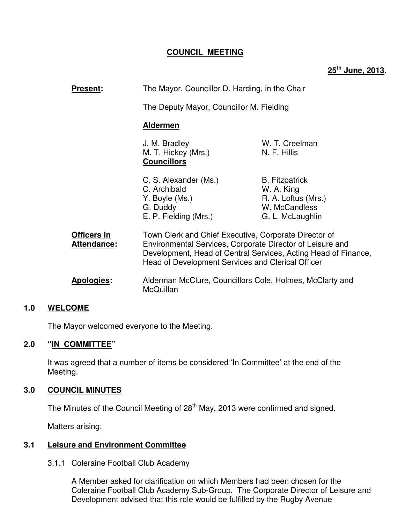## **COUNCIL MEETING**

**25th June, 2013.** 

| <b>Present:</b>                   | The Mayor, Councillor D. Harding, in the Chair<br>The Deputy Mayor, Councillor M. Fielding<br><b>Aldermen</b>                                                                                                                             |                                                                                                 |
|-----------------------------------|-------------------------------------------------------------------------------------------------------------------------------------------------------------------------------------------------------------------------------------------|-------------------------------------------------------------------------------------------------|
|                                   |                                                                                                                                                                                                                                           |                                                                                                 |
|                                   |                                                                                                                                                                                                                                           |                                                                                                 |
|                                   | J. M. Bradley<br>M. T. Hickey (Mrs.)<br><b>Councillors</b>                                                                                                                                                                                | W. T. Creelman<br>N. F. Hillis                                                                  |
|                                   | C. S. Alexander (Ms.)<br>C. Archibald<br>Y. Boyle (Ms.)<br>G. Duddy<br>E. P. Fielding (Mrs.)                                                                                                                                              | <b>B.</b> Fitzpatrick<br>W. A. King<br>R. A. Loftus (Mrs.)<br>W. McCandless<br>G. L. McLaughlin |
| Officers in<br><b>Attendance:</b> | Town Clerk and Chief Executive, Corporate Director of<br>Environmental Services, Corporate Director of Leisure and<br>Development, Head of Central Services, Acting Head of Finance,<br>Head of Development Services and Clerical Officer |                                                                                                 |
| Apologies:                        | Alderman McClure, Councillors Cole, Holmes, McClarty and<br>McQuillan                                                                                                                                                                     |                                                                                                 |

#### **1.0 WELCOME**

The Mayor welcomed everyone to the Meeting.

#### **2.0 "IN COMMITTEE"**

 It was agreed that a number of items be considered 'In Committee' at the end of the Meeting.

#### **3.0 COUNCIL MINUTES**

The Minutes of the Council Meeting of 28<sup>th</sup> May, 2013 were confirmed and signed.

Matters arising:

## **3.1 Leisure and Environment Committee**

#### 3.1.1 Coleraine Football Club Academy

 A Member asked for clarification on which Members had been chosen for the Coleraine Football Club Academy Sub-Group. The Corporate Director of Leisure and Development advised that this role would be fulfilled by the Rugby Avenue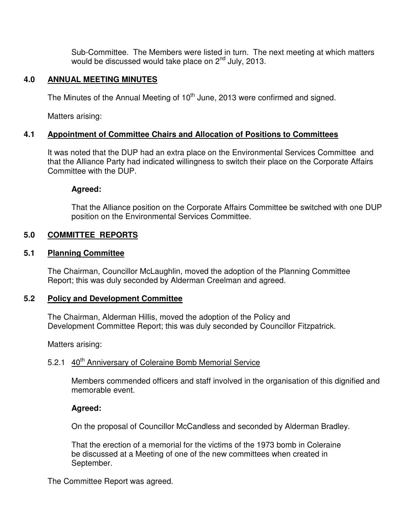Sub-Committee. The Members were listed in turn. The next meeting at which matters would be discussed would take place on 2<sup>nd</sup> July, 2013.

## **4.0 ANNUAL MEETING MINUTES**

The Minutes of the Annual Meeting of  $10<sup>th</sup>$  June, 2013 were confirmed and signed.

Matters arising:

## **4.1 Appointment of Committee Chairs and Allocation of Positions to Committees**

It was noted that the DUP had an extra place on the Environmental Services Committee and that the Alliance Party had indicated willingness to switch their place on the Corporate Affairs Committee with the DUP.

#### **Agreed:**

That the Alliance position on the Corporate Affairs Committee be switched with one DUP position on the Environmental Services Committee.

## **5.0 COMMITTEE REPORTS**

#### **5.1 Planning Committee**

 The Chairman, Councillor McLaughlin, moved the adoption of the Planning Committee Report; this was duly seconded by Alderman Creelman and agreed.

#### **5.2 Policy and Development Committee**

 The Chairman, Alderman Hillis, moved the adoption of the Policy and Development Committee Report; this was duly seconded by Councillor Fitzpatrick.

Matters arising:

# 5.2.1 40<sup>th</sup> Anniversary of Coleraine Bomb Memorial Service

Members commended officers and staff involved in the organisation of this dignified and memorable event.

## **Agreed:**

On the proposal of Councillor McCandless and seconded by Alderman Bradley.

That the erection of a memorial for the victims of the 1973 bomb in Coleraine be discussed at a Meeting of one of the new committees when created in September.

The Committee Report was agreed.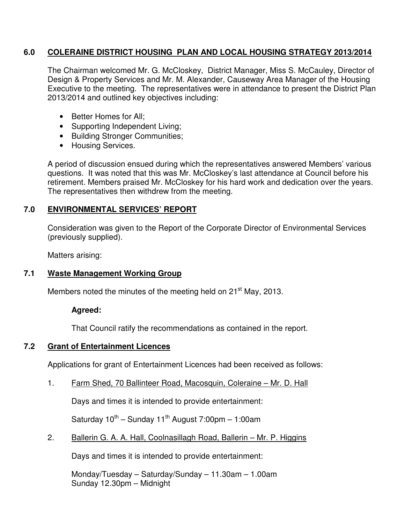### **6.0 COLERAINE DISTRICT HOUSING PLAN AND LOCAL HOUSING STRATEGY 2013/2014**

The Chairman welcomed Mr. G. McCloskey, District Manager, Miss S. McCauley, Director of Design & Property Services and Mr. M. Alexander, Causeway Area Manager of the Housing Executive to the meeting. The representatives were in attendance to present the District Plan 2013/2014 and outlined key objectives including:

- Better Homes for All;
- Supporting Independent Living;
- Building Stronger Communities;
- Housing Services.

A period of discussion ensued during which the representatives answered Members' various questions. It was noted that this was Mr. McCloskey's last attendance at Council before his retirement. Members praised Mr. McCloskey for his hard work and dedication over the years. The representatives then withdrew from the meeting.

## **7.0 ENVIRONMENTAL SERVICES' REPORT**

Consideration was given to the Report of the Corporate Director of Environmental Services (previously supplied).

Matters arising:

## **7.1 Waste Management Working Group**

Members noted the minutes of the meeting held on 21<sup>st</sup> May, 2013.

## **Agreed:**

That Council ratify the recommendations as contained in the report.

## **7.2 Grant of Entertainment Licences**

Applications for grant of Entertainment Licences had been received as follows:

1. Farm Shed, 70 Ballinteer Road, Macosquin, Coleraine – Mr. D. Hall

Days and times it is intended to provide entertainment:

Saturday  $10^{th}$  – Sunday 11<sup>th</sup> August 7:00pm – 1:00am

2. Ballerin G. A. A. Hall, Coolnasillagh Road, Ballerin – Mr. P. Higgins

Days and times it is intended to provide entertainment:

Monday/Tuesday – Saturday/Sunday – 11.30am – 1.00am Sunday 12.30pm – Midnight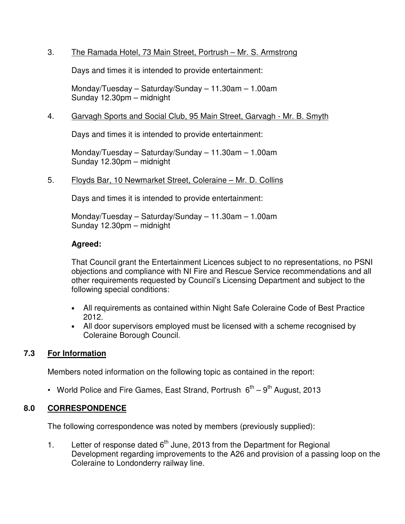## 3. The Ramada Hotel, 73 Main Street, Portrush – Mr. S. Armstrong

Days and times it is intended to provide entertainment:

Monday/Tuesday – Saturday/Sunday – 11.30am – 1.00am Sunday 12.30pm – midnight

#### 4. Garvagh Sports and Social Club, 95 Main Street, Garvagh - Mr. B. Smyth

Days and times it is intended to provide entertainment:

Monday/Tuesday – Saturday/Sunday – 11.30am – 1.00am Sunday 12.30pm – midnight

#### 5. Floyds Bar, 10 Newmarket Street, Coleraine – Mr. D. Collins

Days and times it is intended to provide entertainment:

Monday/Tuesday – Saturday/Sunday – 11.30am – 1.00am Sunday 12.30pm – midnight

#### **Agreed:**

That Council grant the Entertainment Licences subject to no representations, no PSNI objections and compliance with NI Fire and Rescue Service recommendations and all other requirements requested by Council's Licensing Department and subject to the following special conditions:

- All requirements as contained within Night Safe Coleraine Code of Best Practice 2012.
- All door supervisors employed must be licensed with a scheme recognised by Coleraine Borough Council.

#### **7.3 For Information**

Members noted information on the following topic as contained in the report:

• World Police and Fire Games, East Strand, Portrush  $6^{th} - 9^{th}$  August, 2013

#### **8.0 CORRESPONDENCE**

The following correspondence was noted by members (previously supplied):

1. Letter of response dated  $6<sup>th</sup>$  June, 2013 from the Department for Regional Development regarding improvements to the A26 and provision of a passing loop on the Coleraine to Londonderry railway line.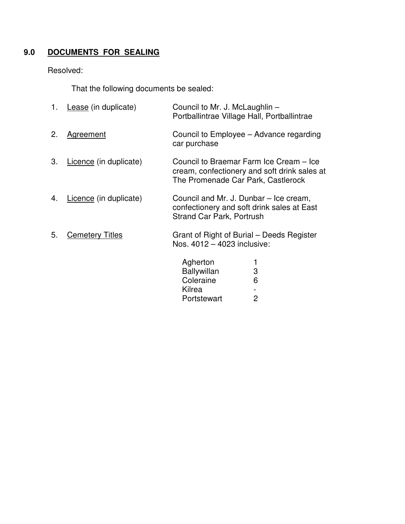# **9.0 DOCUMENTS FOR SEALING**

# Resolved:

That the following documents be sealed:

| 1. | Lease (in duplicate)   | Council to Mr. J. McLaughlin -<br>Portballintrae Village Hall, Portballintrae                                                 |   |
|----|------------------------|-------------------------------------------------------------------------------------------------------------------------------|---|
| 2. | <b>Agreement</b>       | Council to Employee – Advance regarding<br>car purchase                                                                       |   |
| 3. | Licence (in duplicate) | Council to Braemar Farm Ice Cream - Ice<br>cream, confectionery and soft drink sales at<br>The Promenade Car Park, Castlerock |   |
| 4. | Licence (in duplicate) | Council and Mr. J. Dunbar – Ice cream,<br>confectionery and soft drink sales at East<br><b>Strand Car Park, Portrush</b>      |   |
| 5. | <b>Cemetery Titles</b> | Grant of Right of Burial – Deeds Register<br>Nos. 4012 - 4023 inclusive:                                                      |   |
|    |                        | Agherton                                                                                                                      | 1 |
|    |                        | <b>Ballywillan</b>                                                                                                            | 3 |
|    |                        | Coleraine                                                                                                                     | 6 |
|    |                        | Kilrea                                                                                                                        |   |
|    |                        | Portstewart                                                                                                                   | 2 |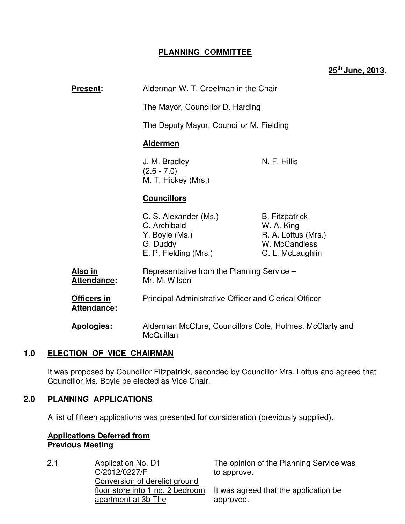## **PLANNING COMMITTEE**

**25th June, 2013.** 

| <b>Present:</b>            | Alderman W. T. Creelman in the Chair<br>The Mayor, Councillor D. Harding<br>The Deputy Mayor, Councillor M. Fielding<br><b>Aldermen</b> |                                                                                                 |
|----------------------------|-----------------------------------------------------------------------------------------------------------------------------------------|-------------------------------------------------------------------------------------------------|
|                            |                                                                                                                                         |                                                                                                 |
|                            |                                                                                                                                         |                                                                                                 |
|                            |                                                                                                                                         |                                                                                                 |
|                            | J. M. Bradley<br>$(2.6 - 7.0)$<br>M. T. Hickey (Mrs.)                                                                                   | N. F. Hillis                                                                                    |
|                            | <b>Councillors</b>                                                                                                                      |                                                                                                 |
|                            | C. S. Alexander (Ms.)<br>C. Archibald<br>Y. Boyle (Ms.)<br>G. Duddy<br>E. P. Fielding (Mrs.)                                            | <b>B.</b> Fitzpatrick<br>W. A. King<br>R. A. Loftus (Mrs.)<br>W. McCandless<br>G. L. McLaughlin |
| Also in<br>Attendance:     | Representative from the Planning Service -<br>Mr. M. Wilson                                                                             |                                                                                                 |
| Officers in<br>Attendance: | <b>Principal Administrative Officer and Clerical Officer</b>                                                                            |                                                                                                 |
| <b>Apologies:</b>          | Alderman McClure, Councillors Cole, Holmes, McClarty and<br>McQuillan                                                                   |                                                                                                 |

## **1.0 ELECTION OF VICE CHAIRMAN**

It was proposed by Councillor Fitzpatrick, seconded by Councillor Mrs. Loftus and agreed that Councillor Ms. Boyle be elected as Vice Chair.

#### **2.0 PLANNING APPLICATIONS**

A list of fifteen applications was presented for consideration (previously supplied).

## **Applications Deferred from Previous Meeting**

2.1 Application No. D1 C/2012/0227/F Conversion of derelict ground floor store into 1 no. 2 bedroom apartment at 3b The

The opinion of the Planning Service was to approve.

It was agreed that the application be approved.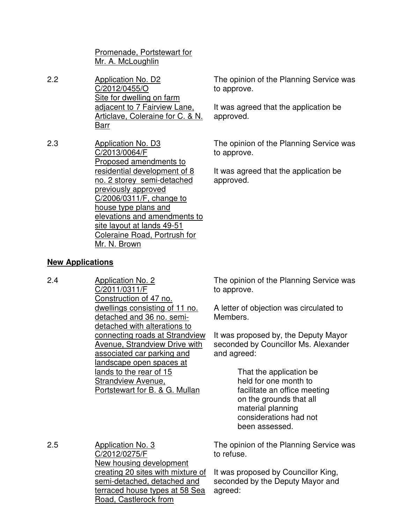Promenade, Portstewart for Mr. A. McLoughlin

- 2.2 Application No. D2 C/2012/0455/O Site for dwelling on farm adjacent to 7 Fairview Lane, Articlave, Coleraine for C. & N. Barr
- 2.3 Application No. D3 C/2013/0064/F Proposed amendments to residential development of 8 no. 2 storey semi-detached previously approved C/2006/0311/F, change to house type plans and elevations and amendments to site layout at lands 49-51 Coleraine Road, Portrush for Mr. N. Brown

The opinion of the Planning Service was to approve.

It was agreed that the application be approved.

The opinion of the Planning Service was to approve.

It was agreed that the application be approved.

## **New Applications**

2.4 Application No. 2 C/2011/0311/F Construction of 47 no. dwellings consisting of 11 no. detached and 36 no. semidetached with alterations to connecting roads at Strandview Avenue, Strandview Drive with associated car parking and landscape open spaces at lands to the rear of 15 Strandview Avenue, Portstewart for B. & G. Mullan

The opinion of the Planning Service was to approve.

A letter of objection was circulated to Members.

It was proposed by, the Deputy Mayor seconded by Councillor Ms. Alexander and agreed:

> That the application be held for one month to facilitate an office meeting on the grounds that all material planning considerations had not been assessed.

2.5 Application No. 3 C/2012/0275/F New housing development creating 20 sites with mixture of semi-detached, detached and terraced house types at 58 Sea Road, Castlerock from The opinion of the Planning Service was to refuse. It was proposed by Councillor King, seconded by the Deputy Mayor and agreed: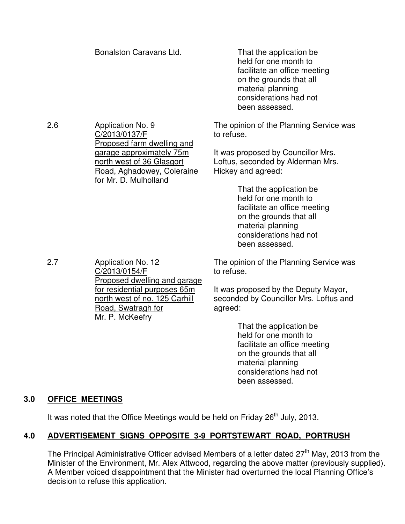|     | Bonalston Caravans Ltd.                                                                                                                                        | That the application be<br>held for one month to<br>facilitate an office meeting<br>on the grounds that all<br>material planning<br>considerations had not<br>been assessed. |
|-----|----------------------------------------------------------------------------------------------------------------------------------------------------------------|------------------------------------------------------------------------------------------------------------------------------------------------------------------------------|
| 2.6 | <b>Application No. 9</b><br>C/2013/0137/F<br>Proposed farm dwelling and<br>garage approximately 75m<br>north west of 36 Glasgort<br>Road, Aghadowey, Coleraine | The opinion of the Planning Service was<br>to refuse.<br>It was proposed by Councillor Mrs.<br>Loftus, seconded by Alderman Mrs.<br>Hickey and agreed:                       |
|     | for Mr. D. Mulholland                                                                                                                                          | That the application be<br>held for one month to<br>facilitate an office meeting<br>on the grounds that all<br>material planning<br>considerations had not<br>been assessed. |

2.7 Application No. 12 C/2013/0154/F Proposed dwelling and garage for residential purposes 65m north west of no. 125 Carhill Road, Swatragh for Mr. P. McKeefry

The opinion of the Planning Service was to refuse.

It was proposed by the Deputy Mayor, seconded by Councillor Mrs. Loftus and agreed:

> That the application be held for one month to facilitate an office meeting on the grounds that all material planning considerations had not been assessed.

# **3.0 OFFICE MEETINGS**

It was noted that the Office Meetings would be held on Friday 26<sup>th</sup> July, 2013.

# **4.0 ADVERTISEMENT SIGNS OPPOSITE 3-9 PORTSTEWART ROAD, PORTRUSH**

The Principal Administrative Officer advised Members of a letter dated  $27<sup>th</sup>$  May, 2013 from the Minister of the Environment, Mr. Alex Attwood, regarding the above matter (previously supplied). A Member voiced disappointment that the Minister had overturned the local Planning Office's decision to refuse this application.